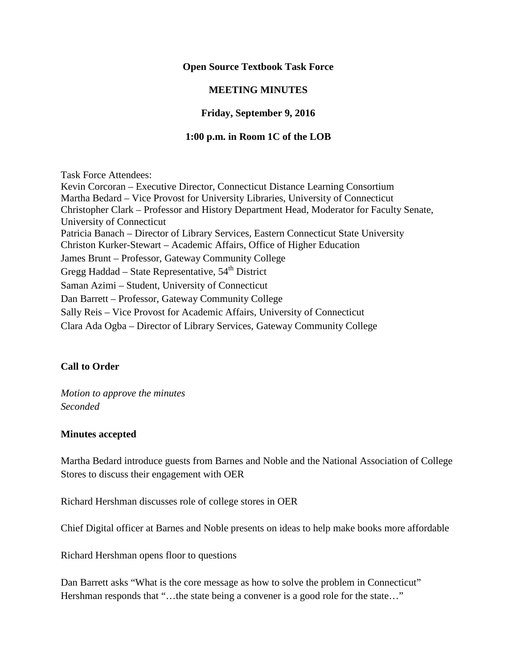## **Open Source Textbook Task Force**

# **MEETING MINUTES**

## **Friday, September 9, 2016**

### **1:00 p.m. in Room 1C of the LOB**

Task Force Attendees: Kevin Corcoran – Executive Director, Connecticut Distance Learning Consortium Martha Bedard – Vice Provost for University Libraries, University of Connecticut Christopher Clark – Professor and History Department Head, Moderator for Faculty Senate, University of Connecticut Patricia Banach – Director of Library Services, Eastern Connecticut State University Christon Kurker-Stewart – Academic Affairs, Office of Higher Education James Brunt – Professor, Gateway Community College Gregg Haddad – State Representative,  $54<sup>th</sup>$  District Saman Azimi – Student, University of Connecticut Dan Barrett – Professor, Gateway Community College Sally Reis – Vice Provost for Academic Affairs, University of Connecticut Clara Ada Ogba – Director of Library Services, Gateway Community College

# **Call to Order**

*Motion to approve the minutes Seconded*

#### **Minutes accepted**

Martha Bedard introduce guests from Barnes and Noble and the National Association of College Stores to discuss their engagement with OER

Richard Hershman discusses role of college stores in OER

Chief Digital officer at Barnes and Noble presents on ideas to help make books more affordable

Richard Hershman opens floor to questions

Dan Barrett asks "What is the core message as how to solve the problem in Connecticut" Hershman responds that "...the state being a convener is a good role for the state..."